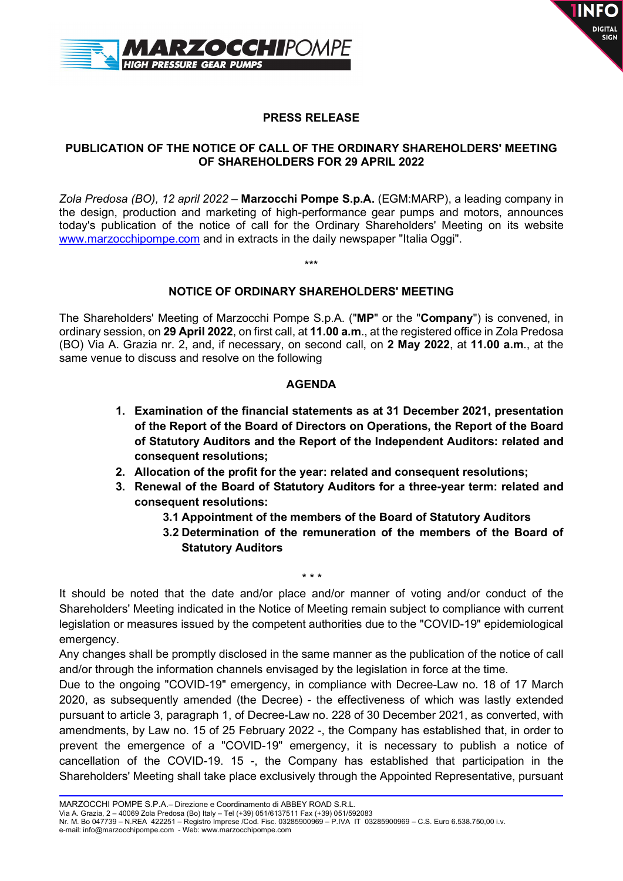



## PRESS RELEASE

#### PUBLICATION OF THE NOTICE OF CALL OF THE ORDINARY SHAREHOLDERS' MEETING OF SHAREHOLDERS FOR 29 APRIL 2022

Zola Predosa (BO), 12 april 2022 – Marzocchi Pompe S.p.A. (EGM:MARP), a leading company in the design, production and marketing of high-performance gear pumps and motors, announces today's publication of the notice of call for the Ordinary Shareholders' Meeting on its website www.marzocchipompe.com and in extracts in the daily newspaper "Italia Oggi".

#### NOTICE OF ORDINARY SHAREHOLDERS' MEETING

\*\*\*

The Shareholders' Meeting of Marzocchi Pompe S.p.A. ("MP" or the "Company") is convened, in ordinary session, on 29 April 2022, on first call, at 11.00 a.m., at the registered office in Zola Predosa (BO) Via A. Grazia nr. 2, and, if necessary, on second call, on 2 May 2022, at 11.00 a.m., at the same venue to discuss and resolve on the following

#### AGENDA

- 1. Examination of the financial statements as at 31 December 2021, presentation of the Report of the Board of Directors on Operations, the Report of the Board of Statutory Auditors and the Report of the Independent Auditors: related and consequent resolutions;
- 2. Allocation of the profit for the year: related and consequent resolutions;
- 3. Renewal of the Board of Statutory Auditors for a three-year term: related and consequent resolutions:
	- 3.1 Appointment of the members of the Board of Statutory Auditors
	- 3.2 Determination of the remuneration of the members of the Board of Statutory Auditors

It should be noted that the date and/or place and/or manner of voting and/or conduct of the Shareholders' Meeting indicated in the Notice of Meeting remain subject to compliance with current legislation or measures issued by the competent authorities due to the "COVID-19" epidemiological emergency.

\* \* \*

Any changes shall be promptly disclosed in the same manner as the publication of the notice of call and/or through the information channels envisaged by the legislation in force at the time.

Due to the ongoing "COVID-19" emergency, in compliance with Decree-Law no. 18 of 17 March 2020, as subsequently amended (the Decree) - the effectiveness of which was lastly extended pursuant to article 3, paragraph 1, of Decree-Law no. 228 of 30 December 2021, as converted, with amendments, by Law no. 15 of 25 February 2022 -, the Company has established that, in order to prevent the emergence of a "COVID-19" emergency, it is necessary to publish a notice of cancellation of the COVID-19. 15 -, the Company has established that participation in the Shareholders' Meeting shall take place exclusively through the Appointed Representative, pursuant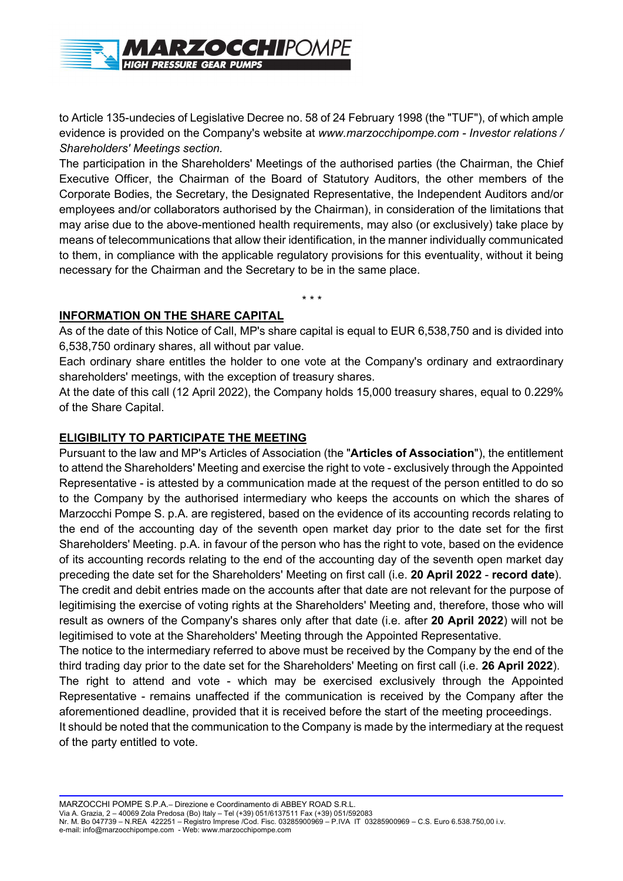

to Article 135-undecies of Legislative Decree no. 58 of 24 February 1998 (the "TUF"), of which ample evidence is provided on the Company's website at www.marzocchipompe.com - Investor relations / Shareholders' Meetings section.

The participation in the Shareholders' Meetings of the authorised parties (the Chairman, the Chief Executive Officer, the Chairman of the Board of Statutory Auditors, the other members of the Corporate Bodies, the Secretary, the Designated Representative, the Independent Auditors and/or employees and/or collaborators authorised by the Chairman), in consideration of the limitations that may arise due to the above-mentioned health requirements, may also (or exclusively) take place by means of telecommunications that allow their identification, in the manner individually communicated to them, in compliance with the applicable regulatory provisions for this eventuality, without it being necessary for the Chairman and the Secretary to be in the same place.

\* \* \*

## INFORMATION ON THE SHARE CAPITAL

As of the date of this Notice of Call, MP's share capital is equal to EUR 6,538,750 and is divided into 6,538,750 ordinary shares, all without par value.

Each ordinary share entitles the holder to one vote at the Company's ordinary and extraordinary shareholders' meetings, with the exception of treasury shares.

At the date of this call (12 April 2022), the Company holds 15,000 treasury shares, equal to 0.229% of the Share Capital.

# ELIGIBILITY TO PARTICIPATE THE MEETING

Pursuant to the law and MP's Articles of Association (the "Articles of Association"), the entitlement to attend the Shareholders' Meeting and exercise the right to vote - exclusively through the Appointed Representative - is attested by a communication made at the request of the person entitled to do so to the Company by the authorised intermediary who keeps the accounts on which the shares of Marzocchi Pompe S. p.A. are registered, based on the evidence of its accounting records relating to the end of the accounting day of the seventh open market day prior to the date set for the first Shareholders' Meeting. p.A. in favour of the person who has the right to vote, based on the evidence of its accounting records relating to the end of the accounting day of the seventh open market day preceding the date set for the Shareholders' Meeting on first call (i.e. 20 April 2022 - record date). The credit and debit entries made on the accounts after that date are not relevant for the purpose of legitimising the exercise of voting rights at the Shareholders' Meeting and, therefore, those who will result as owners of the Company's shares only after that date (i.e. after 20 April 2022) will not be legitimised to vote at the Shareholders' Meeting through the Appointed Representative.

The notice to the intermediary referred to above must be received by the Company by the end of the third trading day prior to the date set for the Shareholders' Meeting on first call (i.e. 26 April 2022).

The right to attend and vote - which may be exercised exclusively through the Appointed Representative - remains unaffected if the communication is received by the Company after the aforementioned deadline, provided that it is received before the start of the meeting proceedings.

It should be noted that the communication to the Company is made by the intermediary at the request of the party entitled to vote.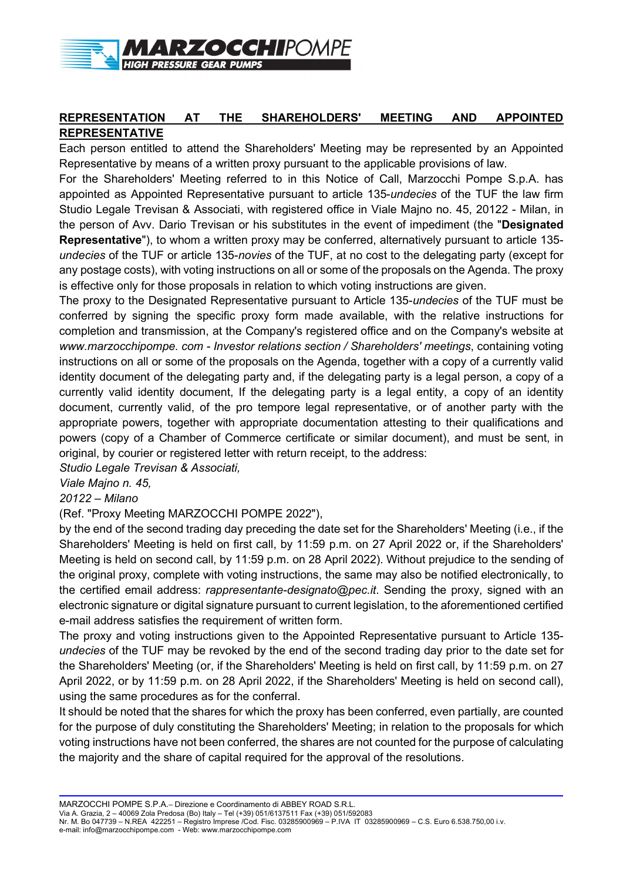

# REPRESENTATION AT THE SHAREHOLDERS' MEETING AND APPOINTED REPRESENTATIVE

Each person entitled to attend the Shareholders' Meeting may be represented by an Appointed Representative by means of a written proxy pursuant to the applicable provisions of law.

For the Shareholders' Meeting referred to in this Notice of Call, Marzocchi Pompe S.p.A. has appointed as Appointed Representative pursuant to article 135-undecies of the TUF the law firm Studio Legale Trevisan & Associati, with registered office in Viale Majno no. 45, 20122 - Milan, in the person of Avy. Dario Trevisan or his substitutes in the event of impediment (the "Designated Representative"), to whom a written proxy may be conferred, alternatively pursuant to article 135undecies of the TUF or article 135-novies of the TUF, at no cost to the delegating party (except for any postage costs), with voting instructions on all or some of the proposals on the Agenda. The proxy is effective only for those proposals in relation to which voting instructions are given.

The proxy to the Designated Representative pursuant to Article 135-undecies of the TUF must be conferred by signing the specific proxy form made available, with the relative instructions for completion and transmission, at the Company's registered office and on the Company's website at www.marzocchipompe. com - Investor relations section / Shareholders' meetings, containing voting instructions on all or some of the proposals on the Agenda, together with a copy of a currently valid identity document of the delegating party and, if the delegating party is a legal person, a copy of a currently valid identity document, If the delegating party is a legal entity, a copy of an identity document, currently valid, of the pro tempore legal representative, or of another party with the appropriate powers, together with appropriate documentation attesting to their qualifications and powers (copy of a Chamber of Commerce certificate or similar document), and must be sent, in original, by courier or registered letter with return receipt, to the address:

Studio Legale Trevisan & Associati,

Viale Majno n. 45,

20122 – Milano

(Ref. "Proxy Meeting MARZOCCHI POMPE 2022"),

by the end of the second trading day preceding the date set for the Shareholders' Meeting (i.e., if the Shareholders' Meeting is held on first call, by 11:59 p.m. on 27 April 2022 or, if the Shareholders' Meeting is held on second call, by 11:59 p.m. on 28 April 2022). Without prejudice to the sending of the original proxy, complete with voting instructions, the same may also be notified electronically, to the certified email address: *rappresentante-designato@pec.it*. Sending the proxy, signed with an electronic signature or digital signature pursuant to current legislation, to the aforementioned certified e-mail address satisfies the requirement of written form.

The proxy and voting instructions given to the Appointed Representative pursuant to Article 135 undecies of the TUF may be revoked by the end of the second trading day prior to the date set for the Shareholders' Meeting (or, if the Shareholders' Meeting is held on first call, by 11:59 p.m. on 27 April 2022, or by 11:59 p.m. on 28 April 2022, if the Shareholders' Meeting is held on second call), using the same procedures as for the conferral.

It should be noted that the shares for which the proxy has been conferred, even partially, are counted for the purpose of duly constituting the Shareholders' Meeting; in relation to the proposals for which voting instructions have not been conferred, the shares are not counted for the purpose of calculating the majority and the share of capital required for the approval of the resolutions.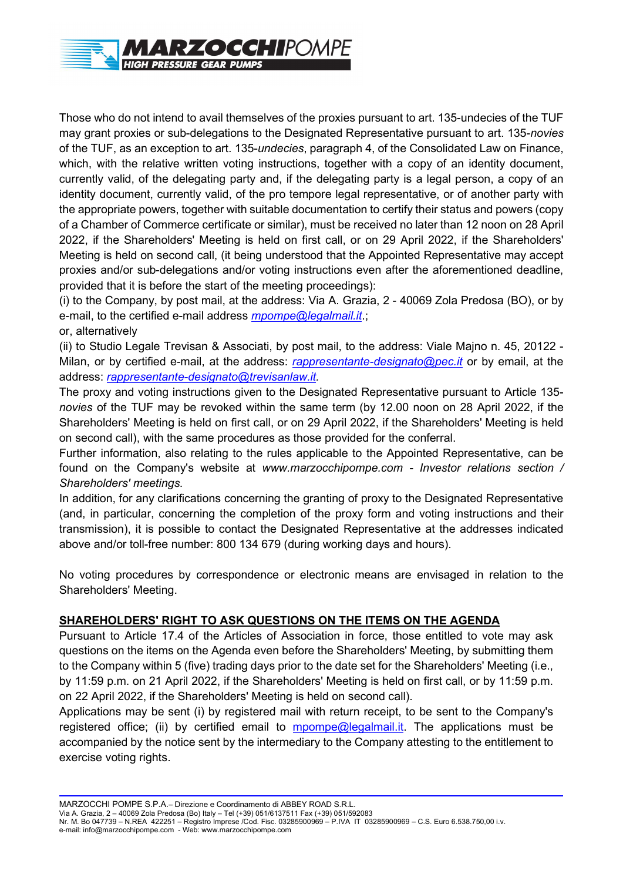

Those who do not intend to avail themselves of the proxies pursuant to art. 135-undecies of the TUF may grant proxies or sub-delegations to the Designated Representative pursuant to art. 135-novies of the TUF, as an exception to art. 135-undecies, paragraph 4, of the Consolidated Law on Finance, which, with the relative written voting instructions, together with a copy of an identity document, currently valid, of the delegating party and, if the delegating party is a legal person, a copy of an identity document, currently valid, of the pro tempore legal representative, or of another party with the appropriate powers, together with suitable documentation to certify their status and powers (copy of a Chamber of Commerce certificate or similar), must be received no later than 12 noon on 28 April 2022, if the Shareholders' Meeting is held on first call, or on 29 April 2022, if the Shareholders' Meeting is held on second call, (it being understood that the Appointed Representative may accept proxies and/or sub-delegations and/or voting instructions even after the aforementioned deadline, provided that it is before the start of the meeting proceedings):

(i) to the Company, by post mail, at the address: Via A. Grazia, 2 - 40069 Zola Predosa (BO), or by e-mail, to the certified e-mail address *mpompe@legalmail.it.*:

or, alternatively

(ii) to Studio Legale Trevisan & Associati, by post mail, to the address: Viale Majno n. 45, 20122 - Milan, or by certified e-mail, at the address: *rappresentante-designato@pec.it* or by email, at the address: rappresentante-designato@trevisanlaw.it.

The proxy and voting instructions given to the Designated Representative pursuant to Article 135 novies of the TUF may be revoked within the same term (by 12.00 noon on 28 April 2022, if the Shareholders' Meeting is held on first call, or on 29 April 2022, if the Shareholders' Meeting is held on second call), with the same procedures as those provided for the conferral.

Further information, also relating to the rules applicable to the Appointed Representative, can be found on the Company's website at www.marzocchipompe.com - Investor relations section / Shareholders' meetings.

In addition, for any clarifications concerning the granting of proxy to the Designated Representative (and, in particular, concerning the completion of the proxy form and voting instructions and their transmission), it is possible to contact the Designated Representative at the addresses indicated above and/or toll-free number: 800 134 679 (during working days and hours).

No voting procedures by correspondence or electronic means are envisaged in relation to the Shareholders' Meeting.

## SHAREHOLDERS' RIGHT TO ASK QUESTIONS ON THE ITEMS ON THE AGENDA

Pursuant to Article 17.4 of the Articles of Association in force, those entitled to vote may ask questions on the items on the Agenda even before the Shareholders' Meeting, by submitting them to the Company within 5 (five) trading days prior to the date set for the Shareholders' Meeting (i.e., by 11:59 p.m. on 21 April 2022, if the Shareholders' Meeting is held on first call, or by 11:59 p.m. on 22 April 2022, if the Shareholders' Meeting is held on second call).

Applications may be sent (i) by registered mail with return receipt, to be sent to the Company's registered office; (ii) by certified email to  $m$ pompe@legalmail.it. The applications must be accompanied by the notice sent by the intermediary to the Company attesting to the entitlement to exercise voting rights.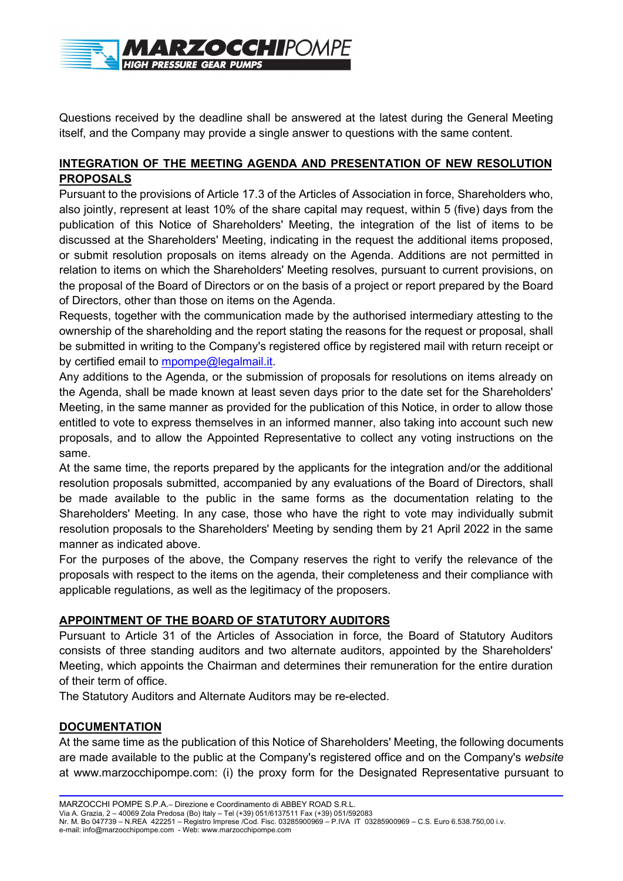

Questions received by the deadline shall be answered at the latest during the General Meeting itself, and the Company may provide a single answer to questions with the same content.

## INTEGRATION OF THE MEETING AGENDA AND PRESENTATION OF NEW RESOLUTION PROPOSALS

Pursuant to the provisions of Article 17.3 of the Articles of Association in force, Shareholders who, also jointly, represent at least 10% of the share capital may request, within 5 (five) days from the publication of this Notice of Shareholders' Meeting, the integration of the list of items to be discussed at the Shareholders' Meeting, indicating in the request the additional items proposed, or submit resolution proposals on items already on the Agenda. Additions are not permitted in relation to items on which the Shareholders' Meeting resolves, pursuant to current provisions, on the proposal of the Board of Directors or on the basis of a project or report prepared by the Board of Directors, other than those on items on the Agenda.

Requests, together with the communication made by the authorised intermediary attesting to the ownership of the shareholding and the report stating the reasons for the request or proposal, shall be submitted in writing to the Company's registered office by registered mail with return receipt or by certified email to mpompe@legalmail.it.

Any additions to the Agenda, or the submission of proposals for resolutions on items already on the Agenda, shall be made known at least seven days prior to the date set for the Shareholders' Meeting, in the same manner as provided for the publication of this Notice, in order to allow those entitled to vote to express themselves in an informed manner, also taking into account such new proposals, and to allow the Appointed Representative to collect any voting instructions on the same.

At the same time, the reports prepared by the applicants for the integration and/or the additional resolution proposals submitted, accompanied by any evaluations of the Board of Directors, shall be made available to the public in the same forms as the documentation relating to the Shareholders' Meeting. In any case, those who have the right to vote may individually submit resolution proposals to the Shareholders' Meeting by sending them by 21 April 2022 in the same manner as indicated above.

For the purposes of the above, the Company reserves the right to verify the relevance of the proposals with respect to the items on the agenda, their completeness and their compliance with applicable regulations, as well as the legitimacy of the proposers.

## APPOINTMENT OF THE BOARD OF STATUTORY AUDITORS

Pursuant to Article 31 of the Articles of Association in force, the Board of Statutory Auditors consists of three standing auditors and two alternate auditors, appointed by the Shareholders' Meeting, which appoints the Chairman and determines their remuneration for the entire duration of their term of office.

The Statutory Auditors and Alternate Auditors may be re-elected.

## **DOCUMENTATION**

At the same time as the publication of this Notice of Shareholders' Meeting, the following documents are made available to the public at the Company's registered office and on the Company's website at www.marzocchipompe.com: (i) the proxy form for the Designated Representative pursuant to